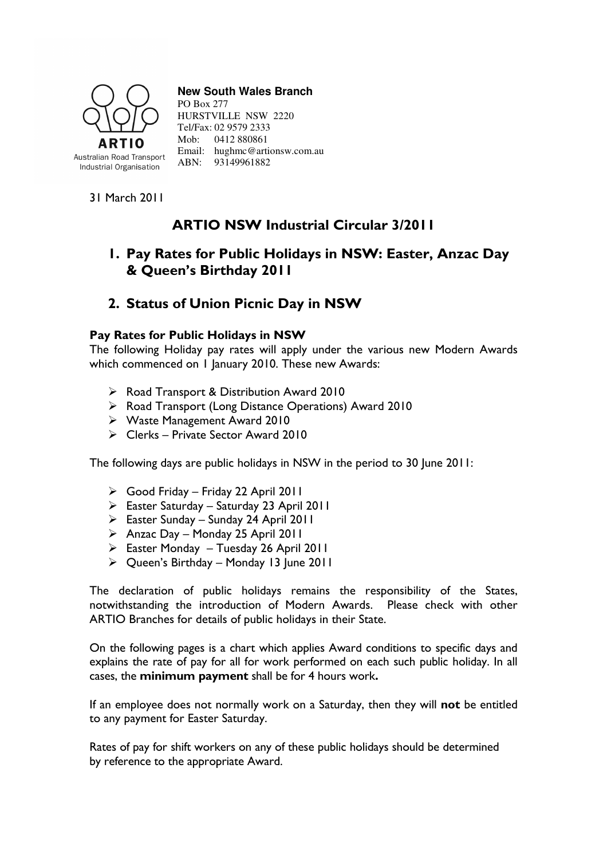

#### **New South Wales Branch**

PO Box 277 HURSTVILLE NSW 2220 Tel/Fax: 02 9579 2333 Mob: 0412 880861 Email: hughmc@artionsw.com.au ABN: 93149961882

31 March 2011

# ARTIO NSW Industrial Circular 3/2011

## 1. Pay Rates for Public Holidays in NSW: Easter, Anzac Day & Queen's Birthday 2011

### 2. Status of Union Picnic Day in NSW

### Pay Rates for Public Holidays in NSW

The following Holiday pay rates will apply under the various new Modern Awards which commenced on 1 January 2010. These new Awards:

- ▶ Road Transport & Distribution Award 2010
- ▶ Road Transport (Long Distance Operations) Award 2010
- Waste Management Award 2010
- Clerks Private Sector Award 2010

The following days are public holidays in NSW in the period to 30 June 2011:

- Good Friday Friday 22 April 2011
- Easter Saturday Saturday 23 April 2011
- Easter Sunday Sunday 24 April 2011
- $\triangleright$  Anzac Day Monday 25 April 2011
- Easter Monday Tuesday 26 April 2011
- $\triangleright$  Queen's Birthday Monday 13 June 2011

The declaration of public holidays remains the responsibility of the States, notwithstanding the introduction of Modern Awards. Please check with other ARTIO Branches for details of public holidays in their State.

On the following pages is a chart which applies Award conditions to specific days and explains the rate of pay for all for work performed on each such public holiday. In all cases, the minimum payment shall be for 4 hours work.

If an employee does not normally work on a Saturday, then they will not be entitled to any payment for Easter Saturday.

Rates of pay for shift workers on any of these public holidays should be determined by reference to the appropriate Award.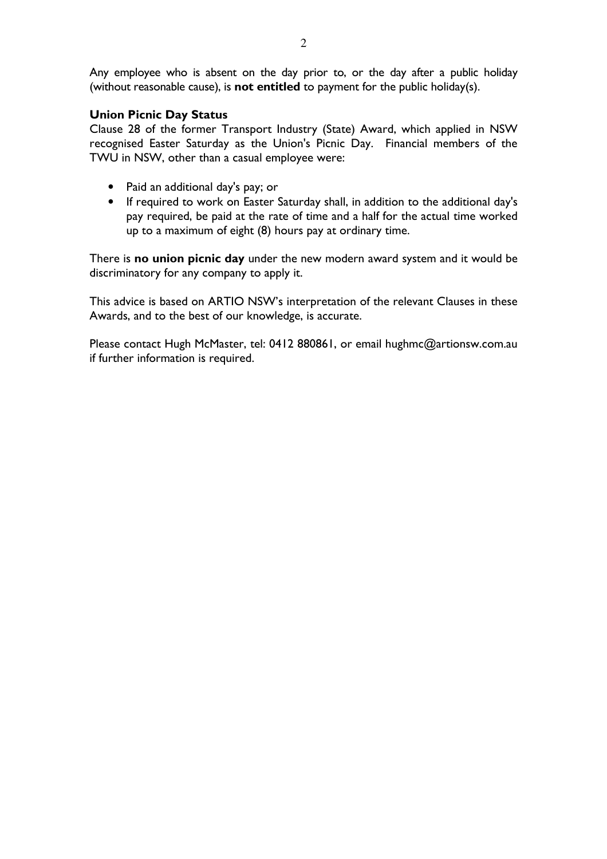Any employee who is absent on the day prior to, or the day after a public holiday (without reasonable cause), is not entitled to payment for the public holiday(s).

#### Union Picnic Day Status

Clause 28 of the former Transport Industry (State) Award, which applied in NSW recognised Easter Saturday as the Union's Picnic Day. Financial members of the TWU in NSW, other than a casual employee were:

- Paid an additional day's pay; or
- If required to work on Easter Saturday shall, in addition to the additional day's pay required, be paid at the rate of time and a half for the actual time worked up to a maximum of eight (8) hours pay at ordinary time.

There is no union picnic day under the new modern award system and it would be discriminatory for any company to apply it.

This advice is based on ARTIO NSW's interpretation of the relevant Clauses in these Awards, and to the best of our knowledge, is accurate.

Please contact Hugh McMaster, tel: 0412 880861, or email hughmc@artionsw.com.au if further information is required.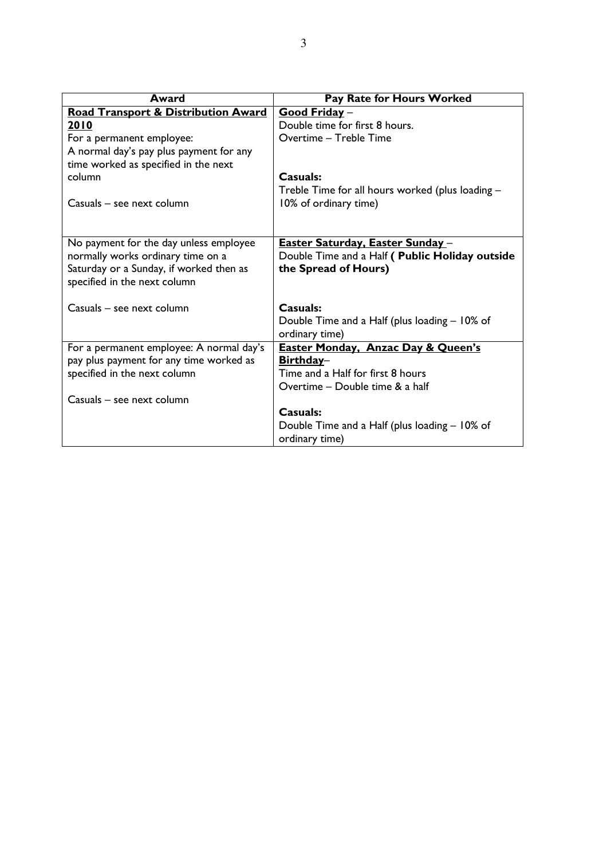| Award                                          | Pay Rate for Hours Worked                        |
|------------------------------------------------|--------------------------------------------------|
| <b>Road Transport &amp; Distribution Award</b> | Good Friday -                                    |
| 2010                                           | Double time for first 8 hours.                   |
| For a permanent employee:                      | Overtime - Treble Time                           |
| A normal day's pay plus payment for any        |                                                  |
| time worked as specified in the next           |                                                  |
| column                                         | Casuals:                                         |
|                                                | Treble Time for all hours worked (plus loading - |
| Casuals – see next column                      | 10% of ordinary time)                            |
|                                                |                                                  |
|                                                |                                                  |
| No payment for the day unless employee         | <u> Easter Saturday, Easter Sunday -</u>         |
| normally works ordinary time on a              | Double Time and a Half ( Public Holiday outside  |
| Saturday or a Sunday, if worked then as        | the Spread of Hours)                             |
| specified in the next column                   |                                                  |
|                                                |                                                  |
| Casuals – see next column                      | <b>Casuals:</b>                                  |
|                                                | Double Time and a Half (plus loading – 10% of    |
|                                                | ordinary time)                                   |
| For a permanent employee: A normal day's       | <b>Easter Monday, Anzac Day &amp; Queen's</b>    |
| pay plus payment for any time worked as        | Birthday-                                        |
| specified in the next column                   | Time and a Half for first 8 hours                |
|                                                | Overtime – Double time & a half                  |
| Casuals – see next column                      |                                                  |
|                                                | Casuals:                                         |
|                                                | Double Time and a Half (plus loading - 10% of    |
|                                                | ordinary time)                                   |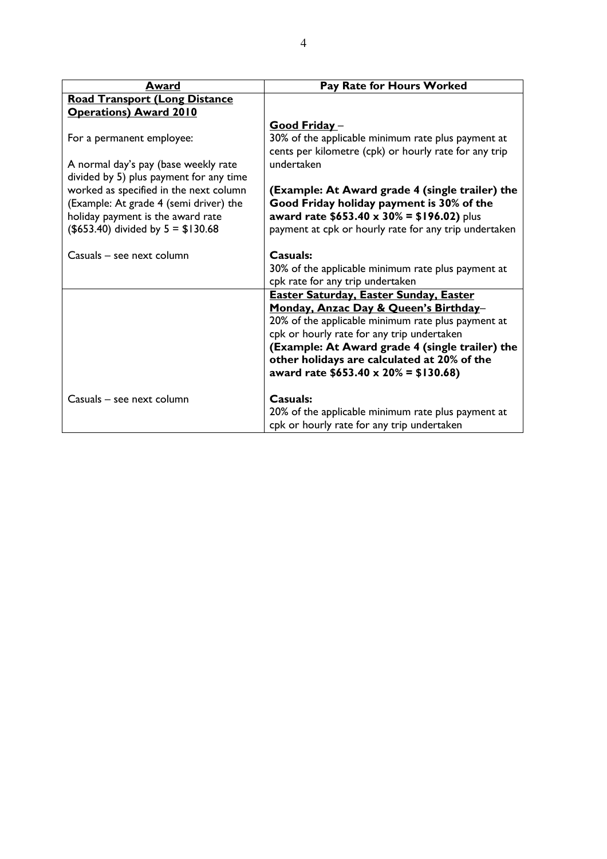| Award                                                                                                                                                         | Pay Rate for Hours Worked                                                                                                                                                                                                                                                                 |
|---------------------------------------------------------------------------------------------------------------------------------------------------------------|-------------------------------------------------------------------------------------------------------------------------------------------------------------------------------------------------------------------------------------------------------------------------------------------|
| <b>Road Transport (Long Distance</b>                                                                                                                          |                                                                                                                                                                                                                                                                                           |
| <b>Operations) Award 2010</b>                                                                                                                                 |                                                                                                                                                                                                                                                                                           |
|                                                                                                                                                               | <u>Good Friday –</u>                                                                                                                                                                                                                                                                      |
| For a permanent employee:                                                                                                                                     | 30% of the applicable minimum rate plus payment at<br>cents per kilometre (cpk) or hourly rate for any trip                                                                                                                                                                               |
| A normal day's pay (base weekly rate<br>divided by 5) plus payment for any time                                                                               | undertaken                                                                                                                                                                                                                                                                                |
| worked as specified in the next column<br>(Example: At grade 4 (semi driver) the<br>holiday payment is the award rate<br>$($653.40)$ divided by $5 = $130.68$ | (Example: At Award grade 4 (single trailer) the<br>Good Friday holiday payment is 30% of the<br>award rate $$653.40 \times 30\% = $196.02$ ) plus<br>payment at cpk or hourly rate for any trip undertaken                                                                                |
| Casuals - see next column                                                                                                                                     | Casuals:<br>30% of the applicable minimum rate plus payment at<br>cpk rate for any trip undertaken                                                                                                                                                                                        |
|                                                                                                                                                               | <b>Easter Saturday, Easter Sunday, Easter</b>                                                                                                                                                                                                                                             |
|                                                                                                                                                               | Monday, Anzac Day & Queen's Birthday-<br>20% of the applicable minimum rate plus payment at<br>cpk or hourly rate for any trip undertaken<br>(Example: At Award grade 4 (single trailer) the<br>other holidays are calculated at 20% of the<br>award rate $$653.40 \times 20\% = $130.68$ |
| Casuals - see next column                                                                                                                                     | Casuals:<br>20% of the applicable minimum rate plus payment at<br>cpk or hourly rate for any trip undertaken                                                                                                                                                                              |